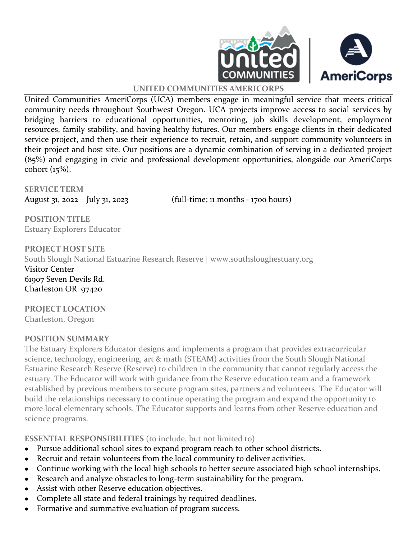



#### **UNITED COMMUNITIES AMERICORPS**

United Communities AmeriCorps (UCA) members engage in meaningful service that meets critical community needs throughout Southwest Oregon. UCA projects improve access to social services by bridging barriers to educational opportunities, mentoring, job skills development, employment resources, family stability, and having healthy futures. Our members engage clients in their dedicated service project, and then use their experience to recruit, retain, and support community volunteers in their project and host site. Our positions are a dynamic combination of serving in a dedicated project (85%) and engaging in civic and professional development opportunities, alongside our AmeriCorps cohort (15%).

**SERVICE TERM**

August 31, 2022 – July 31, 2023 (full-time; 11 months - 1700 hours)

**POSITION TITLE** Estuary Explorers Educator

**PROJECT HOST SITE** South Slough National Estuarine Research Reserve | www.southsloughestuary.org Visitor Center 61907 Seven Devils Rd. Charleston OR 97420

**PROJECT LOCATION** Charleston, Oregon

#### **POSITION SUMMARY**

The Estuary Explorers Educator designs and implements a program that provides extracurricular science, technology, engineering, art & math (STEAM) activities from the South Slough National Estuarine Research Reserve (Reserve) to children in the community that cannot regularly access the estuary. The Educator will work with guidance from the Reserve education team and a framework established by previous members to secure program sites, partners and volunteers. The Educator will build the relationships necessary to continue operating the program and expand the opportunity to more local elementary schools. The Educator supports and learns from other Reserve education and science programs.

**ESSENTIAL RESPONSIBILITIES** (to include, but not limited to)

- Pursue additional school sites to expand program reach to other school districts.
- Recruit and retain volunteers from the local community to deliver activities.
- Continue working with the local high schools to better secure associated high school internships.
- Research and analyze obstacles to long-term sustainability for the program.
- Assist with other Reserve education objectives.
- Complete all state and federal trainings by required deadlines.
- Formative and summative evaluation of program success.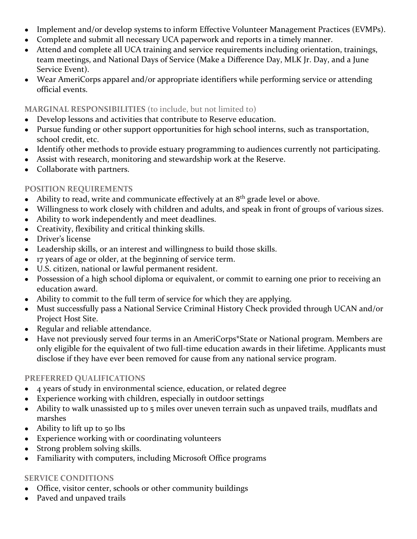- Implement and/or develop systems to inform Effective Volunteer Management Practices (EVMPs).
- Complete and submit all necessary UCA paperwork and reports in a timely manner.
- Attend and complete all UCA training and service requirements including orientation, trainings, team meetings, and National Days of Service (Make a Difference Day, MLK Jr. Day, and a June Service Event).
- Wear AmeriCorps apparel and/or appropriate identifiers while performing service or attending official events.

#### **MARGINAL RESPONSIBILITIES** (to include, but not limited to)

- Develop lessons and activities that contribute to Reserve education.
- Pursue funding or other support opportunities for high school interns, such as transportation, school credit, etc.
- Identify other methods to provide estuary programming to audiences currently not participating.
- Assist with research, monitoring and stewardship work at the Reserve.
- Collaborate with partners.

## **POSITION REQUIREMENTS**

- $\bullet$  Ability to read, write and communicate effectively at an  $8<sup>th</sup>$  grade level or above.
- Willingness to work closely with children and adults, and speak in front of groups of various sizes.
- Ability to work independently and meet deadlines.
- Creativity, flexibility and critical thinking skills.
- Driver's license
- Leadership skills, or an interest and willingness to build those skills.
- 17 years of age or older, at the beginning of service term.
- U.S. citizen, national or lawful permanent resident.
- Possession of a high school diploma or equivalent, or commit to earning one prior to receiving an education award.
- Ability to commit to the full term of service for which they are applying.
- Must successfully pass a National Service Criminal History Check provided through UCAN and/or Project Host Site.
- Regular and reliable attendance.
- Have not previously served four terms in an AmeriCorps\*State or National program. Members are only eligible for the equivalent of two full-time education awards in their lifetime. Applicants must disclose if they have ever been removed for cause from any national service program.

#### **PREFERRED QUALIFICATIONS**

- 4 years of study in environmental science, education, or related degree
- Experience working with children, especially in outdoor settings
- Ability to walk unassisted up to 5 miles over uneven terrain such as unpaved trails, mudflats and marshes
- $\bullet$  Ability to lift up to 50 lbs
- Experience working with or coordinating volunteers
- Strong problem solving skills.
- Familiarity with computers, including Microsoft Office programs

# **SERVICE CONDITIONS**

- Office, visitor center, schools or other community buildings
- Paved and unpaved trails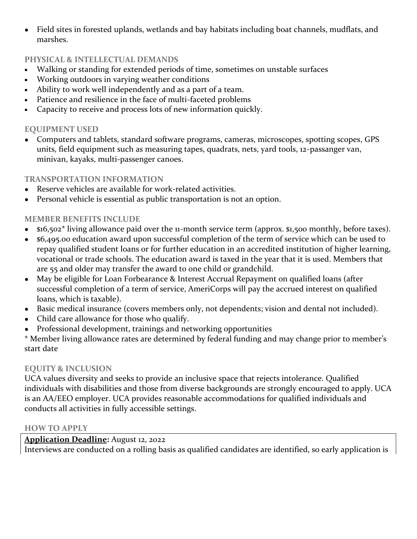● Field sites in forested uplands, wetlands and bay habitats including boat channels, mudflats, and marshes.

## **PHYSICAL & INTELLECTUAL DEMANDS**

- Walking or standing for extended periods of time, sometimes on unstable surfaces
- Working outdoors in varying weather conditions
- Ability to work well independently and as a part of a team.
- Patience and resilience in the face of multi-faceted problems
- Capacity to receive and process lots of new information quickly.

## **EQUIPMENT USED**

• Computers and tablets, standard software programs, cameras, microscopes, spotting scopes, GPS units, field equipment such as measuring tapes, quadrats, nets, yard tools, 12-passanger van, minivan, kayaks, multi-passenger canoes.

## **TRANSPORTATION INFORMATION**

- Reserve vehicles are available for work-related activities.
- Personal vehicle is essential as public transportation is not an option.

# **MEMBER BENEFITS INCLUDE**

- $$16,502^*$  living allowance paid over the 11-month service term (approx. \$1,500 monthly, before taxes).
- \$6,495.00 education award upon successful completion of the term of service which can be used to repay qualified student loans or for further education in an accredited institution of higher learning, vocational or trade schools. The education award is taxed in the year that it is used. Members that are 55 and older may transfer the award to one child or grandchild.
- May be eligible for Loan Forbearance & Interest Accrual Repayment on qualified loans (after successful completion of a term of service, AmeriCorps will pay the accrued interest on qualified loans, which is taxable).
- Basic medical insurance (covers members only, not dependents; vision and dental not included).
- Child care allowance for those who qualify.
- Professional development, trainings and networking opportunities

\* Member living allowance rates are determined by federal funding and may change prior to member's start date

#### **EQUITY & INCLUSION**

UCA values diversity and seeks to provide an inclusive space that rejects intolerance. Qualified individuals with disabilities and those from diverse backgrounds are strongly encouraged to apply. UCA is an AA/EEO employer. UCA provides reasonable accommodations for qualified individuals and conducts all activities in fully accessible settings.

#### **HOW TO APPLY**

## **Application Deadline:** August 12, 2022

Interviews are conducted on a rolling basis as qualified candidates are identified, so early application is